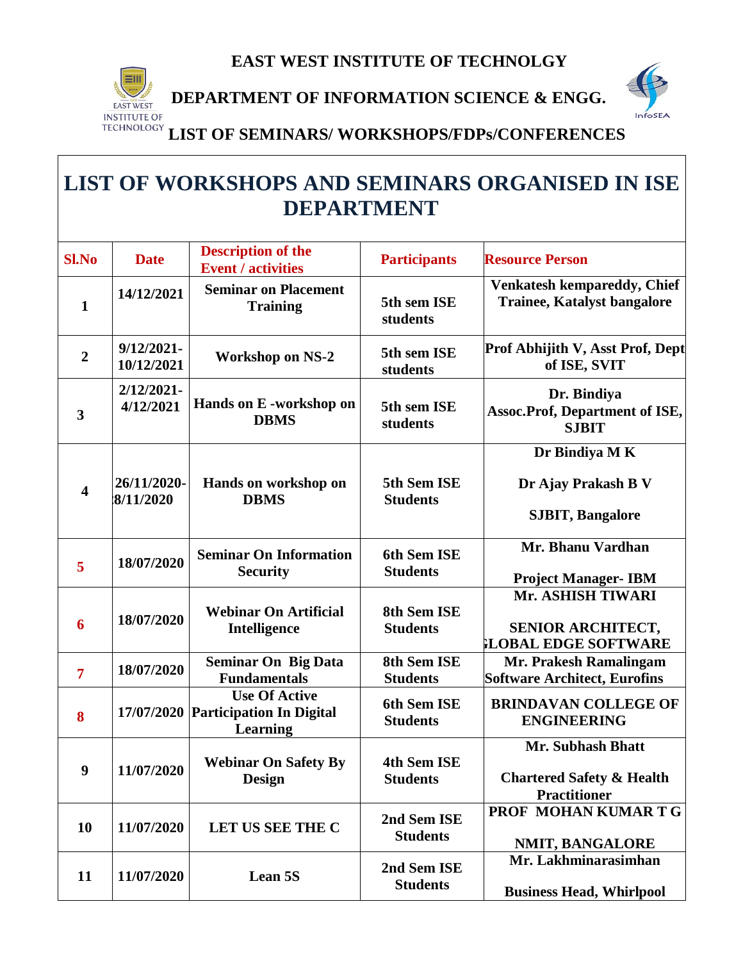

**DEPARTMENT OF INFORMATION SCIENCE & ENGG.** 



 **LIST OF SEMINARS/ WORKSHOPS/FDPs/CONFERENCES**

# **LIST OF WORKSHOPS AND SEMINARS ORGANISED IN ISE DEPARTMENT**

| <b>Sl.No</b>            | <b>Date</b>                 | <b>Description of the</b><br><b>Event / activities</b>                     | <b>Participants</b>                   | <b>Resource Person</b>                                                                  |
|-------------------------|-----------------------------|----------------------------------------------------------------------------|---------------------------------------|-----------------------------------------------------------------------------------------|
| $\mathbf{1}$            | 14/12/2021                  | <b>Seminar on Placement</b><br><b>Training</b>                             | 5th sem ISE<br>students               | <b>Venkatesh kempareddy, Chief</b><br><b>Trainee, Katalyst bangalore</b>                |
| $\overline{2}$          | $9/12/2021 -$<br>10/12/2021 | <b>Workshop on NS-2</b>                                                    | 5th sem ISE<br>students               | Prof Abhijith V, Asst Prof, Dept<br>of ISE, SVIT                                        |
| $\mathbf{3}$            | $2/12/2021 -$<br>4/12/2021  | Hands on E -workshop on<br><b>DBMS</b>                                     | 5th sem ISE<br>students               | Dr. Bindiya<br><b>Assoc.Prof, Department of ISE,</b><br><b>SJBIT</b>                    |
|                         |                             |                                                                            |                                       | Dr Bindiya M K                                                                          |
| $\overline{\mathbf{4}}$ | 26/11/2020-<br>8/11/2020    | Hands on workshop on<br><b>DBMS</b>                                        | 5th Sem ISE<br><b>Students</b>        | Dr Ajay Prakash B V                                                                     |
|                         |                             |                                                                            |                                       | <b>SJBIT, Bangalore</b>                                                                 |
| 5                       | 18/07/2020                  | <b>Seminar On Information</b>                                              | 6th Sem ISE                           | Mr. Bhanu Vardhan                                                                       |
|                         |                             | <b>Security</b>                                                            | <b>Students</b>                       | <b>Project Manager- IBM</b>                                                             |
| 6                       | 18/07/2020                  | <b>Webinar On Artificial</b><br>Intelligence                               | 8th Sem ISE<br><b>Students</b>        | Mr. ASHISH TIWARI<br><b>SENIOR ARCHITECT,</b><br><b>LOBAL EDGE SOFTWARE</b>             |
| $\overline{7}$          | 18/07/2020                  | <b>Seminar On Big Data</b><br><b>Fundamentals</b>                          | 8th Sem ISE<br><b>Students</b>        | Mr. Prakesh Ramalingam<br><b>Software Architect, Eurofins</b>                           |
| 8                       | 17/07/2020                  | <b>Use Of Active</b><br><b>Participation In Digital</b><br><b>Learning</b> | 6th Sem ISE<br><b>Students</b>        | <b>BRINDAVAN COLLEGE OF</b><br><b>ENGINEERING</b>                                       |
| 9                       | 11/07/2020                  | <b>Webinar On Safety By</b><br><b>Design</b>                               | <b>4th Sem ISE</b><br><b>Students</b> | <b>Mr. Subhash Bhatt</b><br><b>Chartered Safety &amp; Health</b><br><b>Practitioner</b> |
| 10                      | 11/07/2020                  | LET US SEE THE C                                                           | 2nd Sem ISE<br><b>Students</b>        | PROF MOHAN KUMAR T G<br>NMIT, BANGALORE                                                 |
|                         |                             |                                                                            |                                       | Mr. Lakhminarasimhan                                                                    |
| 11                      | 11/07/2020                  | Lean 5S                                                                    | 2nd Sem ISE<br><b>Students</b>        | <b>Business Head, Whirlpool</b>                                                         |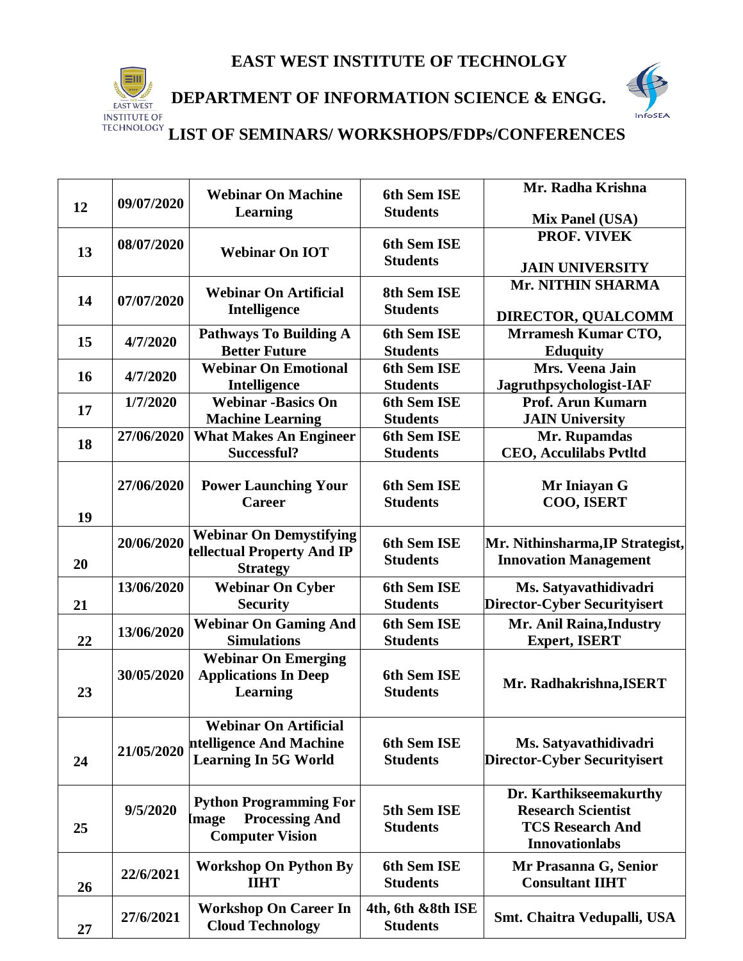

 **DEPARTMENT OF INFORMATION SCIENCE & ENGG.**



|    |            | <b>Webinar On Machine</b>                           | 6th Sem ISE                    | Mr. Radha Krishna                                |
|----|------------|-----------------------------------------------------|--------------------------------|--------------------------------------------------|
| 12 | 09/07/2020 | Learning                                            | <b>Students</b>                |                                                  |
|    |            |                                                     |                                | <b>Mix Panel (USA)</b><br>PROF. VIVEK            |
| 13 | 08/07/2020 | <b>Webinar On IOT</b>                               | 6th Sem ISE                    |                                                  |
|    |            |                                                     | <b>Students</b>                | <b>JAIN UNIVERSITY</b>                           |
|    |            | <b>Webinar On Artificial</b>                        | 8th Sem ISE                    | Mr. NITHIN SHARMA                                |
| 14 | 07/07/2020 | Intelligence                                        | <b>Students</b>                |                                                  |
|    |            |                                                     |                                | DIRECTOR, QUALCOMM                               |
| 15 | 4/7/2020   | <b>Pathways To Building A</b>                       | 6th Sem ISE                    | <b>Mrramesh Kumar CTO,</b>                       |
|    |            | <b>Better Future</b><br><b>Webinar On Emotional</b> | <b>Students</b><br>6th Sem ISE | <b>Eduquity</b><br>Mrs. Veena Jain               |
| 16 | 4/7/2020   | Intelligence                                        | <b>Students</b>                | Jagruthpsychologist-IAF                          |
|    | 1/7/2020   | <b>Webinar -Basics On</b>                           | 6th Sem ISE                    | Prof. Arun Kumarn                                |
| 17 |            | <b>Machine Learning</b>                             | <b>Students</b>                | <b>JAIN University</b>                           |
|    | 27/06/2020 | <b>What Makes An Engineer</b>                       | 6th Sem ISE                    | Mr. Rupamdas                                     |
| 18 |            | Successful?                                         | <b>Students</b>                | <b>CEO, Acculilabs Pvtltd</b>                    |
|    |            |                                                     |                                |                                                  |
|    | 27/06/2020 | <b>Power Launching Your</b>                         | 6th Sem ISE                    | Mr Iniayan G                                     |
|    |            | <b>Career</b>                                       | <b>Students</b>                | COO, ISERT                                       |
| 19 |            |                                                     |                                |                                                  |
|    | 20/06/2020 | <b>Webinar On Demystifying</b>                      | 6th Sem ISE                    | Mr. Nithinsharma, IP Strategist,                 |
| 20 |            | tellectual Property And IP<br><b>Strategy</b>       | <b>Students</b>                | <b>Innovation Management</b>                     |
|    | 13/06/2020 | <b>Webinar On Cyber</b>                             | 6th Sem ISE                    | Ms. Satyavathidivadri                            |
| 21 |            | <b>Security</b>                                     | <b>Students</b>                | <b>Director-Cyber Securityisert</b>              |
|    |            | <b>Webinar On Gaming And</b>                        | 6th Sem ISE                    | Mr. Anil Raina, Industry                         |
| 22 | 13/06/2020 | <b>Simulations</b>                                  | <b>Students</b>                | <b>Expert, ISERT</b>                             |
|    |            | <b>Webinar On Emerging</b>                          |                                |                                                  |
|    | 30/05/2020 | <b>Applications In Deep</b>                         | 6th Sem ISE                    |                                                  |
| 23 |            | Learning                                            | <b>Students</b>                | Mr. Radhakrishna, ISERT                          |
|    |            |                                                     |                                |                                                  |
|    |            | <b>Webinar On Artificial</b>                        |                                |                                                  |
|    | 21/05/2020 | ntelligence And Machine                             | 6th Sem ISE                    | Ms. Satyavathidivadri                            |
| 24 |            | <b>Learning In 5G World</b>                         | <b>Students</b>                | <b>Director-Cyber Securityisert</b>              |
|    |            |                                                     |                                |                                                  |
|    |            | <b>Python Programming For</b>                       |                                | Dr. Karthikseemakurthy                           |
|    | 9/5/2020   | <b>Processing And</b><br>Image                      | 5th Sem ISE                    | <b>Research Scientist</b>                        |
| 25 |            | <b>Computer Vision</b>                              | <b>Students</b>                | <b>TCS Research And</b><br><b>Innovationlabs</b> |
|    |            |                                                     |                                |                                                  |
|    | 22/6/2021  | <b>Workshop On Python By</b><br><b>IIHT</b>         | 6th Sem ISE<br><b>Students</b> | Mr Prasanna G, Senior<br><b>Consultant IIHT</b>  |
| 26 |            |                                                     |                                |                                                  |
|    | 27/6/2021  | <b>Workshop On Career In</b>                        | 4th, 6th &8th ISE              | Smt. Chaitra Vedupalli, USA                      |
| 27 |            | <b>Cloud Technology</b>                             | <b>Students</b>                |                                                  |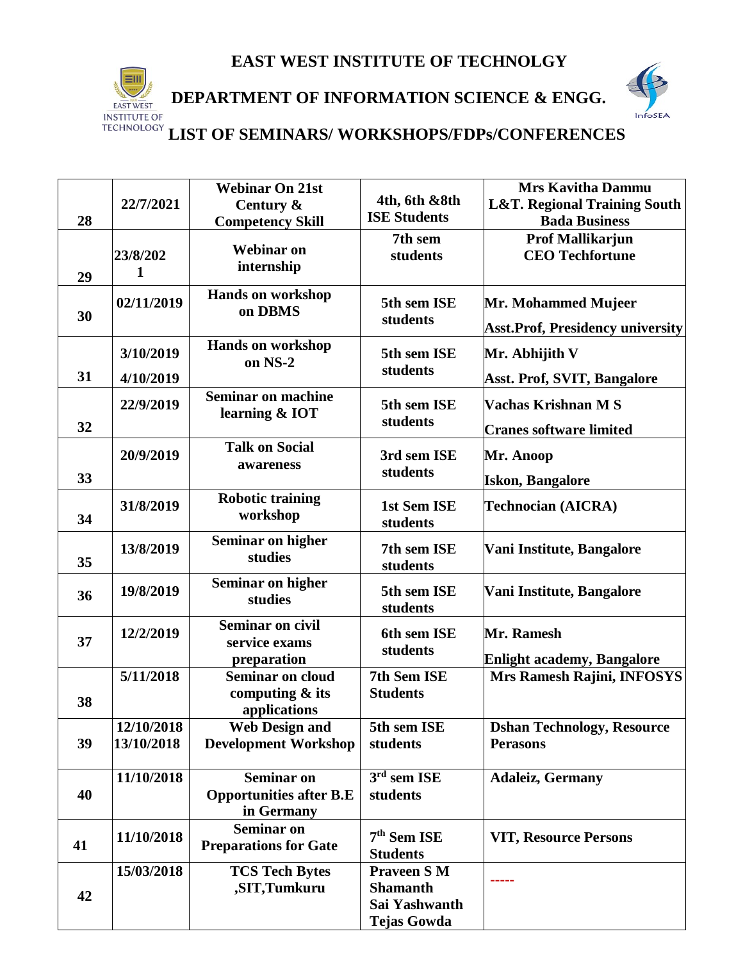

 **DEPARTMENT OF INFORMATION SCIENCE & ENGG.**



|    | 22/7/2021                | <b>Webinar On 21st</b><br>Century &                               | 4th, 6th &8th<br><b>ISE Students</b>                                         | <b>Mrs Kavitha Dammu</b><br><b>L&amp;T. Regional Training South</b> |
|----|--------------------------|-------------------------------------------------------------------|------------------------------------------------------------------------------|---------------------------------------------------------------------|
| 28 |                          | <b>Competency Skill</b>                                           |                                                                              | <b>Bada Business</b>                                                |
| 29 | 23/8/202<br>1            | <b>Webinar on</b><br>internship                                   | 7th sem<br>students                                                          | <b>Prof Mallikarjun</b><br><b>CEO Techfortune</b>                   |
| 30 | 02/11/2019               | Hands on workshop<br>on DBMS                                      | 5th sem ISE<br>students                                                      | Mr. Mohammed Mujeer<br><b>Asst.Prof, Presidency university</b>      |
| 31 | 3/10/2019<br>4/10/2019   | <b>Hands on workshop</b><br>on NS-2                               | 5th sem ISE<br>students                                                      | Mr. Abhijith V<br><b>Asst. Prof, SVIT, Bangalore</b>                |
| 32 | 22/9/2019                | <b>Seminar on machine</b><br>learning & IOT                       | 5th sem ISE<br>students                                                      | Vachas Krishnan M S<br><b>Cranes software limited</b>               |
| 33 | 20/9/2019                | <b>Talk on Social</b><br>awareness                                | 3rd sem ISE<br>students                                                      | Mr. Anoop<br><b>Iskon, Bangalore</b>                                |
| 34 | 31/8/2019                | <b>Robotic training</b><br>workshop                               | 1st Sem ISE<br>students                                                      | Technocian (AICRA)                                                  |
| 35 | 13/8/2019                | <b>Seminar on higher</b><br>studies                               | 7th sem ISE<br>students                                                      | Vani Institute, Bangalore                                           |
| 36 | 19/8/2019                | <b>Seminar on higher</b><br>studies                               | 5th sem ISE<br>students                                                      | Vani Institute, Bangalore                                           |
| 37 | 12/2/2019                | <b>Seminar on civil</b><br>service exams<br>preparation           | 6th sem ISE<br>students                                                      | Mr. Ramesh<br><b>Enlight academy, Bangalore</b>                     |
| 38 | 5/11/2018                | <b>Seminar on cloud</b><br>computing & its<br>applications        | 7th Sem ISE<br><b>Students</b>                                               | Mrs Ramesh Rajini, INFOSYS                                          |
| 39 | 12/10/2018<br>13/10/2018 | <b>Web Design and</b><br><b>Development Workshop</b>              | 5th sem ISE<br>students                                                      | <b>Dshan Technology, Resource</b><br><b>Perasons</b>                |
| 40 | 11/10/2018               | <b>Seminar on</b><br><b>Opportunities after B.E</b><br>in Germany | $3rd$ sem ISE<br>students                                                    | <b>Adaleiz, Germany</b>                                             |
| 41 | 11/10/2018               | <b>Seminar on</b><br><b>Preparations for Gate</b>                 | 7 <sup>th</sup> Sem ISE<br><b>Students</b>                                   | <b>VIT, Resource Persons</b>                                        |
| 42 | 15/03/2018               | <b>TCS Tech Bytes</b><br>,SIT,Tumkuru                             | <b>Praveen S M</b><br><b>Shamanth</b><br>Sai Yashwanth<br><b>Tejas Gowda</b> |                                                                     |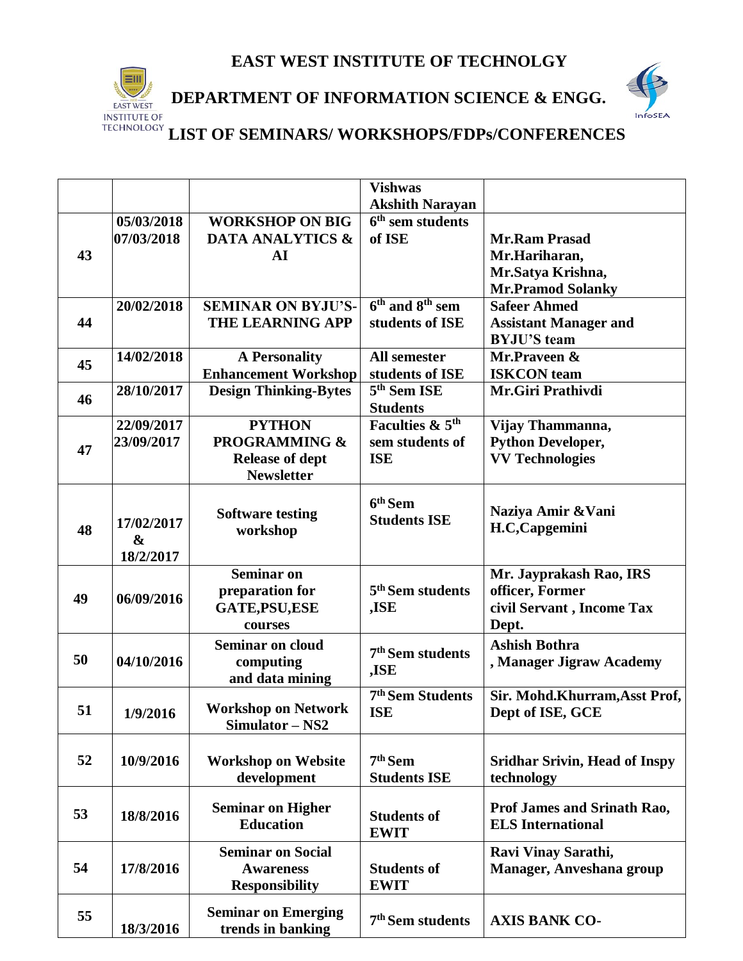

#### **DEPARTMENT OF INFORMATION SCIENCE & ENGG.**



|    |                   |                              | <b>Vishwas</b>               |                                      |
|----|-------------------|------------------------------|------------------------------|--------------------------------------|
|    |                   |                              | <b>Akshith Narayan</b>       |                                      |
|    | 05/03/2018        | <b>WORKSHOP ON BIG</b>       | $6th$ sem students           |                                      |
|    | 07/03/2018        | <b>DATA ANALYTICS &amp;</b>  | of ISE                       | <b>Mr.Ram Prasad</b>                 |
| 43 |                   | ${\bf AI}$                   |                              | Mr.Hariharan,                        |
|    |                   |                              |                              | Mr.Satya Krishna,                    |
|    |                   |                              |                              | <b>Mr.Pramod Solanky</b>             |
|    | 20/02/2018        | <b>SEMINAR ON BYJU'S-</b>    | $6th$ and $8th$ sem          | <b>Safeer Ahmed</b>                  |
| 44 |                   | <b>THE LEARNING APP</b>      | students of ISE              | <b>Assistant Manager and</b>         |
|    |                   |                              |                              | <b>BYJU'S</b> team                   |
|    | 14/02/2018        | <b>A Personality</b>         | All semester                 | Mr.Praveen &                         |
| 45 |                   | <b>Enhancement Workshop</b>  | students of ISE              | <b>ISKCON</b> team                   |
|    | 28/10/2017        | <b>Design Thinking-Bytes</b> | $5th$ Sem ISE                | Mr.Giri Prathivdi                    |
| 46 |                   |                              | <b>Students</b>              |                                      |
|    | 22/09/2017        | <b>PYTHON</b>                | Faculties & 5 <sup>th</sup>  | Vijay Thammanna,                     |
|    | 23/09/2017        | <b>PROGRAMMING &amp;</b>     | sem students of              | <b>Python Developer,</b>             |
| 47 |                   | <b>Release of dept</b>       | <b>ISE</b>                   | <b>VV Technologies</b>               |
|    |                   | <b>Newsletter</b>            |                              |                                      |
|    |                   |                              |                              |                                      |
|    |                   | <b>Software testing</b>      | $6th$ Sem                    | Naziya Amir & Vani                   |
| 48 | 17/02/2017        | workshop                     | <b>Students ISE</b>          | H.C,Capgemini                        |
|    | $\boldsymbol{\&}$ |                              |                              |                                      |
|    | 18/2/2017         |                              |                              |                                      |
|    |                   | <b>Seminar on</b>            |                              | Mr. Jayprakash Rao, IRS              |
|    |                   | preparation for              | 5 <sup>th</sup> Sem students | officer, Former                      |
| 49 | 06/09/2016        | <b>GATE, PSU, ESE</b>        | ,ISE                         | civil Servant, Income Tax            |
|    |                   | courses                      |                              | Dept.                                |
|    |                   | <b>Seminar on cloud</b>      |                              | <b>Ashish Bothra</b>                 |
| 50 | 04/10/2016        | computing                    | 7 <sup>th</sup> Sem students | , Manager Jigraw Academy             |
|    |                   | and data mining              | ,ISE                         |                                      |
|    |                   |                              | 7 <sup>th</sup> Sem Students | Sir. Mohd.Khurram, Asst Prof,        |
| 51 | 1/9/2016          | <b>Workshop on Network</b>   | <b>ISE</b>                   | Dept of ISE, GCE                     |
|    |                   | Simulator – NS2              |                              |                                      |
|    |                   |                              |                              |                                      |
| 52 | 10/9/2016         | <b>Workshop on Website</b>   | $7th$ Sem                    | <b>Sridhar Srivin, Head of Inspy</b> |
|    |                   | development                  | <b>Students ISE</b>          | technology                           |
|    |                   |                              |                              |                                      |
| 53 | 18/8/2016         | <b>Seminar on Higher</b>     | <b>Students of</b>           | Prof James and Srinath Rao,          |
|    |                   | <b>Education</b>             | <b>EWIT</b>                  | <b>ELS</b> International             |
|    |                   |                              |                              |                                      |
|    |                   | <b>Seminar on Social</b>     |                              | Ravi Vinay Sarathi,                  |
| 54 | 17/8/2016         | <b>Awareness</b>             | <b>Students of</b>           | Manager, Anveshana group             |
|    |                   | <b>Responsibility</b>        | <b>EWIT</b>                  |                                      |
| 55 |                   | <b>Seminar on Emerging</b>   |                              |                                      |
|    | 18/3/2016         | trends in banking            | 7 <sup>th</sup> Sem students | <b>AXIS BANK CO-</b>                 |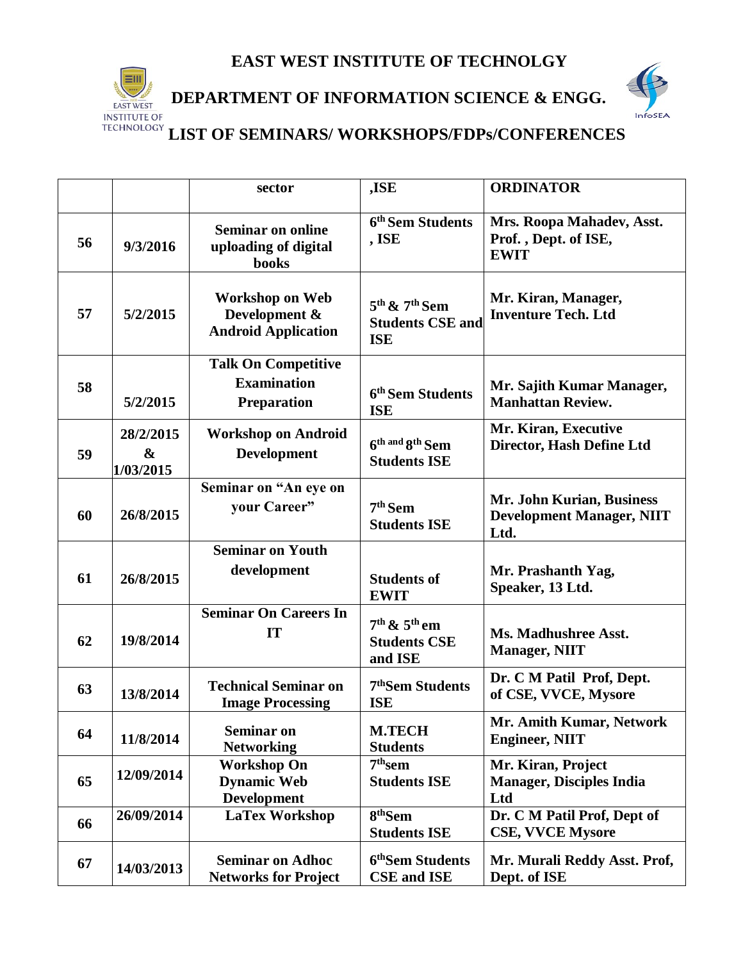

#### **DEPARTMENT OF INFORMATION SCIENCE & ENGG.**



|    |                                             | sector                                                                 | ,ISE                                                       | <b>ORDINATOR</b>                                                      |
|----|---------------------------------------------|------------------------------------------------------------------------|------------------------------------------------------------|-----------------------------------------------------------------------|
| 56 | 9/3/2016                                    | <b>Seminar on online</b><br>uploading of digital<br><b>books</b>       | 6 <sup>th</sup> Sem Students<br>, ISE                      | Mrs. Roopa Mahadev, Asst.<br>Prof., Dept. of ISE,<br><b>EWIT</b>      |
| 57 | 5/2/2015                                    | <b>Workshop on Web</b><br>Development &<br><b>Android Application</b>  | $5th$ & $7th$ Sem<br><b>Students CSE and</b><br><b>ISE</b> | Mr. Kiran, Manager,<br><b>Inventure Tech. Ltd</b>                     |
| 58 | 5/2/2015                                    | <b>Talk On Competitive</b><br><b>Examination</b><br><b>Preparation</b> | 6 <sup>th</sup> Sem Students<br><b>ISE</b>                 | Mr. Sajith Kumar Manager,<br><b>Manhattan Review.</b>                 |
| 59 | 28/2/2015<br>$\boldsymbol{\&}$<br>1/03/2015 | <b>Workshop on Android</b><br><b>Development</b>                       | 6th and 8th Sem<br><b>Students ISE</b>                     | Mr. Kiran, Executive<br>Director, Hash Define Ltd                     |
| 60 | 26/8/2015                                   | Seminar on "An eye on<br>your Career"                                  | 7 <sup>th</sup> Sem<br><b>Students ISE</b>                 | Mr. John Kurian, Business<br><b>Development Manager, NIIT</b><br>Ltd. |
| 61 | 26/8/2015                                   | <b>Seminar on Youth</b><br>development                                 | <b>Students of</b><br><b>EWIT</b>                          | Mr. Prashanth Yag,<br>Speaker, 13 Ltd.                                |
| 62 | 19/8/2014                                   | <b>Seminar On Careers In</b><br>IT                                     | $7th$ & $5th$ em<br><b>Students CSE</b><br>and ISE         | Ms. Madhushree Asst.<br><b>Manager, NIIT</b>                          |
| 63 | 13/8/2014                                   | <b>Technical Seminar on</b><br><b>Image Processing</b>                 | 7 <sup>th</sup> Sem Students<br><b>ISE</b>                 | Dr. C M Patil Prof, Dept.<br>of CSE, VVCE, Mysore                     |
| 64 | 11/8/2014                                   | <b>Seminar on</b><br><b>Networking</b>                                 | <b>M.TECH</b><br><b>Students</b>                           | Mr. Amith Kumar, Network<br><b>Engineer, NIIT</b>                     |
| 65 | 12/09/2014                                  | <b>Workshop On</b><br><b>Dynamic Web</b><br><b>Development</b>         | $7th$ sem<br><b>Students ISE</b>                           | Mr. Kiran, Project<br><b>Manager, Disciples India</b><br>Ltd          |
| 66 | 26/09/2014                                  | <b>LaTex Workshop</b>                                                  | 8 <sup>th</sup> Sem<br><b>Students ISE</b>                 | Dr. C M Patil Prof, Dept of<br><b>CSE, VVCE Mysore</b>                |
| 67 | 14/03/2013                                  | <b>Seminar on Adhoc</b><br><b>Networks for Project</b>                 | 6 <sup>th</sup> Sem Students<br><b>CSE</b> and <b>ISE</b>  | Mr. Murali Reddy Asst. Prof,<br>Dept. of ISE                          |